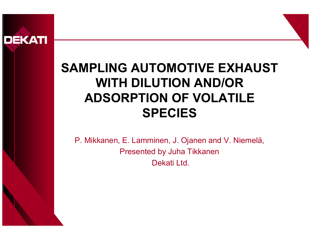

#### **SAMPLING AUTOMOTIVE EXHAUST WITH DILUTION AND/OR ADSORPTION OF VOLATILE SPECIES**

P. Mikkanen, E. Lamminen, J. Ojanen and V. Niemelä, Presented by Juha Tikkanen Dekati Ltd.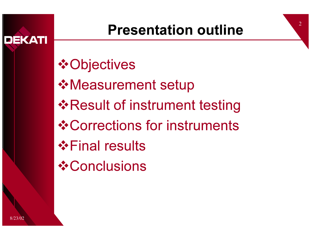

 $\mathcal{D}_{\mathcal{L}}$ 



*❖* Conclusions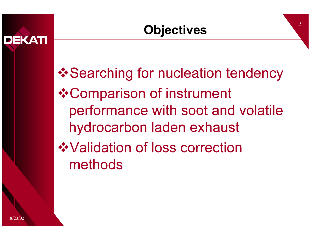performance with soot and volatile hydrocarbon laden exhaust ❖ Validation of loss correction methods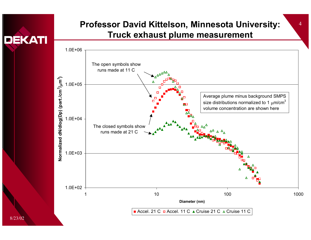

#### **Professor David Kittelson, Minnesota University:** <sup>4</sup> **Truck exhaust plume measurement**

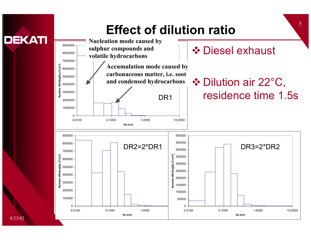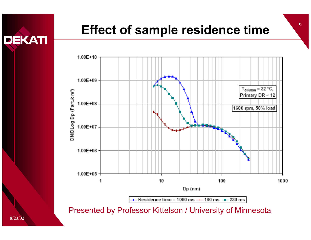



Presented by Professor Kittelson / University of Minnesota

8/23/02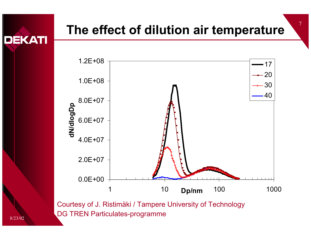# <sup>7</sup>**The effect of dilution air temperature**



Courtesy of J. Ristimäki / Tampere University of Technology DG TREN Particulates-programme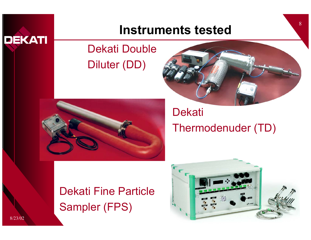

### <sup>8</sup>**Instruments tested**

#### Dekati Double Diluter (DD)





#### **Dekati** Thermodenuder (TD)

Dekati Fine ParticleSampler (FPS)

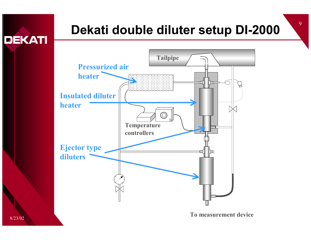# Dekati double diluter setup DI-2000



**To measurement device** 

8/23/02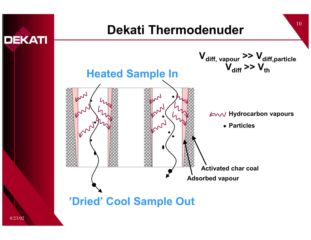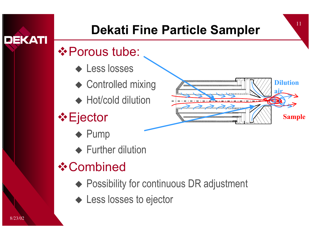### <sup>11</sup>**Dekati Fine Particle Sampler**

#### $\triangle$  **Porous tube:**

- ◆ Less losses
- ◆ Controlled mixing
- ◆ Hot/cold dilution
- $\triangle$  Ejector
	- $\blacklozenge$  Pump
	- ◆ Further dilution

### **❖ Combined**

- ◆ Possibility for continuous DR adjustment
- ◆ Less losses to ejector



8/23/02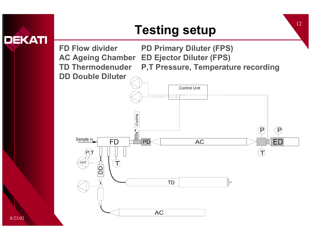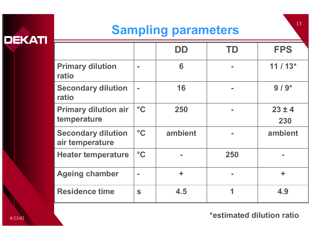# **DEKATI**

# Sampling parameters

|                                              |                 | DD      | TD           | <b>FPS</b>        |
|----------------------------------------------|-----------------|---------|--------------|-------------------|
| <b>Primary dilution</b><br>ratio             |                 | 6       | ÷            | $11/13*$          |
| <b>Secondary dilution</b><br>ratio           | $\mathbf{r}$    | 16      | m.           | $9/9*$            |
| <b>Primary dilution air</b><br>temperature   | $\rm ^{\circ}C$ | 250     | $\mathbf{r}$ | $23 \pm 4$<br>230 |
| <b>Secondary dilution</b><br>air temperature | $\rm ^{\circ}C$ | ambient |              | ambient           |
| <b>Heater temperature</b>                    | $\circ$ C       |         | 250          |                   |
| <b>Ageing chamber</b>                        | ш               | ÷       | m.           | ÷                 |
| <b>Residence time</b>                        | S               | 4.5     | 1            | 4.9               |

**\*estimated dilution ratio**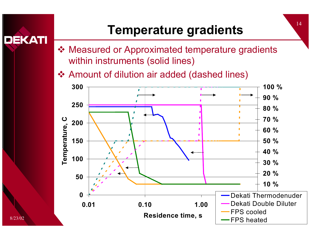# <sup>14</sup>**Temperature gradients**

 Measured or Approximated temperature gradients within instruments (solid lines)

Amount of dilution air added (dashed lines)

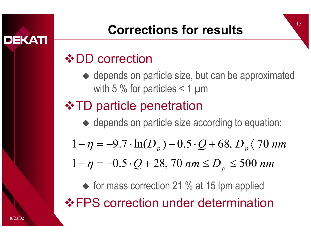

# <sup>15</sup>**Corrections for results**

#### **❖ DD correction**

◆ depends on particle size, but can be approximated with 5 % for particles  $\leq$  1 µm

### **❖ TD particle penetration**

- ◆ depends on particle size according to equation:
- $D_p$ )  $0.5\cdot Q$  + 68,  $D_p$   $\langle$  70 nm  $1 - \eta = -9.7 \cdot \ln(D_p) - 0.5 \cdot Q + 68, D_p \langle 70$  $-\eta = -9.7 \cdot \ln(D_p) - 0.5 \cdot Q + 68, D_p \langle$
- $Q$  + 28, 70 nm  $\leq$   $D_{p}$   $\leq$  500 nm  $1 - \eta = -0.5 \cdot Q + 28$ , 70 nm  $\le D_n \le 500$  $-\eta = -0.5 \cdot Q + 28$ , 70 nm  $\leq D_{_{\scriptscriptstyle D}} \leq$

◆ for mass correction 21 % at 15 lpm applied FPS correction under determination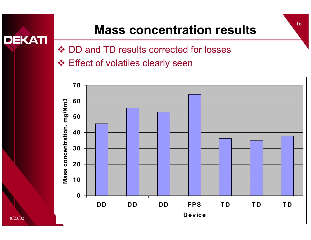## Mass concentration results

❖ DD and TD results corrected for losses

**❖ Effect of volatiles clearly seen** 

8/23/02

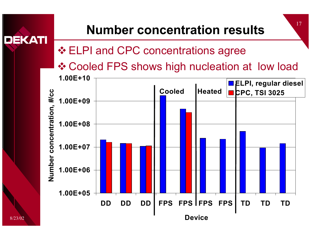#### 17 **Number concentration resultsDEKATI ❖ ELPI and CPC concentrations agree**  Cooled FPS shows high nucleation at low load**1.00E+10ELPI, regular diesel Cooled**Heated **P**<sub>C</sub>PC, TSI 3025 Number concentration, #/cc **Number concentration, #/cc 1.00E+091.00E+081.00E+07 1.00E+06 1.00E+05DD DD DD FPS FPS FPS FPS TD TD TDDevice**8/23/02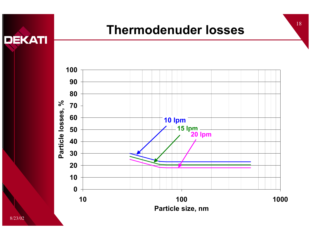

## <sup>18</sup>**Thermodenuder losses**

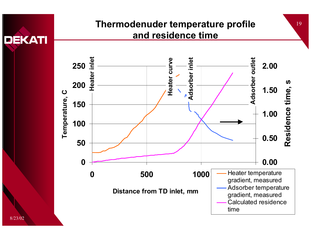

#### **Thermodenuder temperature profile and residence time**

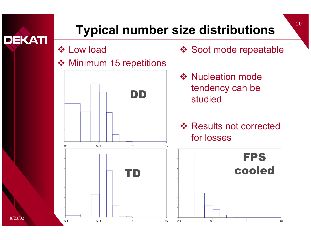

## <sup>20</sup>**Typical number size distributions**

**☆ Low load** 

#### ❖ Minimum 15 repetitions



- ❖ Soot mode repeatable
- **❖ Nucleation mode** tendency can be studied
- **❖ Results not corrected** for losses

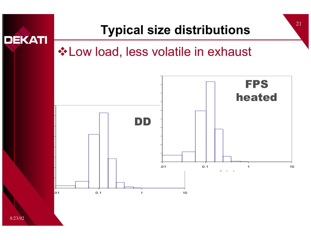#### <sup>21</sup>**Typical size distributions DEKATI \*Low load, less volatile in exhaust** FPSheatedDD $.01$  $0.1$  $\mathbf{1}$ 10 01  $0.1$ 1 10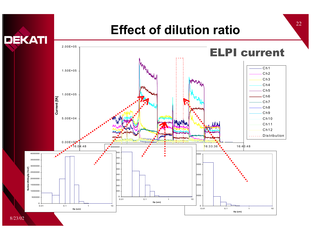